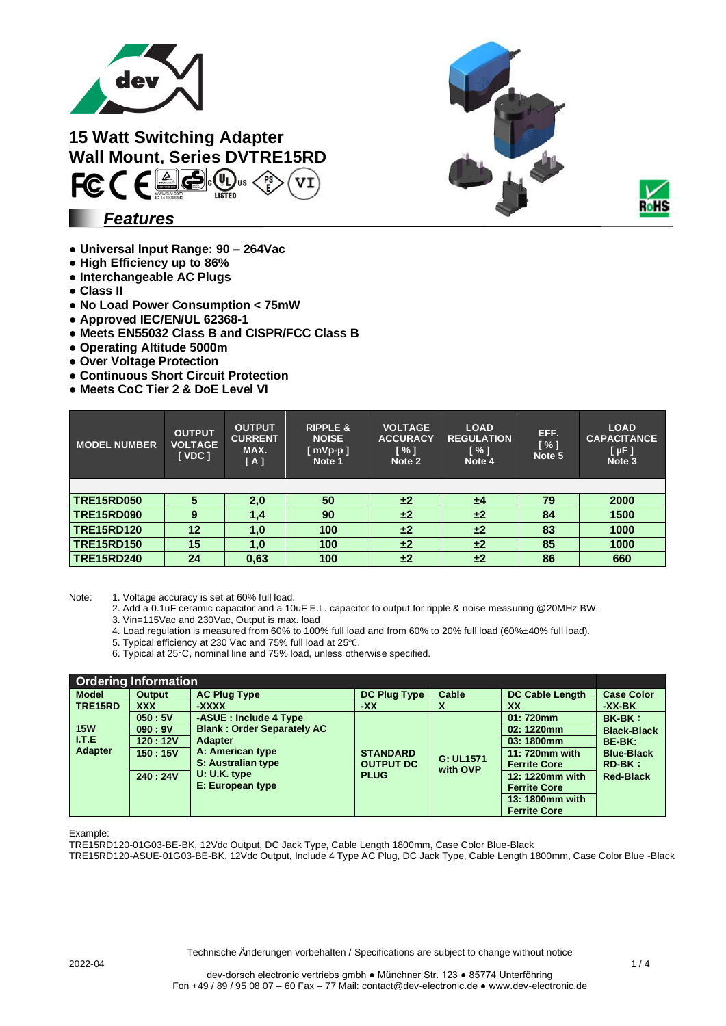



*Features*

- **Universal Input Range: 90 – 264Vac**
- **● High Efficiency up to 86%**
- **Interchangeable AC Plugs**
- **Class II**
- **No Load Power Consumption < 75mW**
- **Approved IEC/EN/UL 62368-1**
- **Meets EN55032 Class B and CISPR/FCC Class B**
- **Operating Altitude 5000m**
- **● Over Voltage Protection**
- **● Continuous Short Circuit Protection**
- **● Meets CoC Tier 2 & DoE Level VI**

| <b>MODEL NUMBER</b> | <b>OUTPUT</b><br><b>VOLTAGE</b><br>[VDC] | <b>OUTPUT</b><br><b>CURRENT</b><br>MAX.<br>[A] | <b>RIPPLE &amp;</b><br><b>NOISE</b><br>$[$ mVp-p $]$<br>Note 1 | <b>VOLTAGE</b><br><b>ACCURACY</b><br>$\left[\frac{9}{1}\right]$<br>Note 2 | <b>LOAD</b><br><b>REGULATION</b><br>$\left[\frac{9}{1}\right]$<br>Note 4 | EFF.<br>[%]<br>Note 5 | <b>LOAD</b><br><b>CAPACITANCE</b><br>$[ \mu F ]$<br>Note 3 |
|---------------------|------------------------------------------|------------------------------------------------|----------------------------------------------------------------|---------------------------------------------------------------------------|--------------------------------------------------------------------------|-----------------------|------------------------------------------------------------|
|                     |                                          |                                                |                                                                |                                                                           |                                                                          |                       |                                                            |
| <b>TRE15RD050</b>   |                                          | 2,0                                            | 50                                                             | ±2                                                                        | ±4                                                                       | 79                    | 2000                                                       |
| <b>TRE15RD090</b>   | 9                                        | 1,4                                            | 90                                                             | ±2                                                                        | ±2                                                                       | 84                    | 1500                                                       |
| <b>TRE15RD120</b>   | 12                                       | 1,0                                            | 100                                                            | ±2                                                                        | ±2                                                                       | 83                    | 1000                                                       |
| <b>TRE15RD150</b>   | 15                                       | 1,0                                            | 100                                                            | ±2                                                                        | ±2                                                                       | 85                    | 1000                                                       |
| <b>TRE15RD240</b>   | 24                                       | 0,63                                           | 100                                                            | ±2                                                                        | ±2                                                                       | 86                    | 660                                                        |

Note: 1. Voltage accuracy is set at 60% full load.

- 2. Add a 0.1uF ceramic capacitor and a 10uF E.L. capacitor to output for ripple & noise measuring @20MHz BW.
- 3. Vin=115Vac and 230Vac, Output is max. load
- 4. Load regulation is measured from 60% to 100% full load and from 60% to 20% full load (60%±40% full load).
- 5. Typical efficiency at 230 Vac and 75% full load at 25℃.
- 6. Typical at 25°C, nominal line and 75% load, unless otherwise specified.

| <b>Ordering Information</b> |                |                                   |                     |           |                        |                    |  |
|-----------------------------|----------------|-----------------------------------|---------------------|-----------|------------------------|--------------------|--|
| <b>Model</b>                | <b>Output</b>  | <b>AC Plug Type</b>               | <b>DC Plug Type</b> | Cable     | <b>DC Cable Length</b> | <b>Case Color</b>  |  |
| TRE15RD                     | <b>XXX</b>     | -XXXX                             | $-XX$               | X         | <b>XX</b>              | -XX-BK             |  |
|                             | 050:5V         | -ASUE: Include 4 Type             |                     |           | 01:720mm               | <b>BK-BK:</b>      |  |
| <b>15W</b>                  | 090:9V         | <b>Blank: Order Separately AC</b> |                     |           | 02: 1220mm             | <b>Black-Black</b> |  |
| <b>ITE</b>                  | <b>120:12V</b> | <b>Adapter</b>                    |                     |           | 03:1800mm              | BE-BK:             |  |
| <b>Adapter</b>              | 150:15V        | A: American type                  | <b>STANDARD</b>     | G: UL1571 | 11: 720mm with         | <b>Blue-Black</b>  |  |
|                             |                | S: Australian type                | <b>OUTPUT DC</b>    | with OVP  | <b>Ferrite Core</b>    | $RD-BK:$           |  |
|                             | 240:24V        | $U: U.K.$ type                    | <b>PLUG</b>         |           | 12: 1220mm with        | <b>Red-Black</b>   |  |
|                             |                | E: European type                  |                     |           | <b>Ferrite Core</b>    |                    |  |
|                             |                |                                   |                     |           | 13: 1800mm with        |                    |  |
|                             |                |                                   |                     |           | <b>Ferrite Core</b>    |                    |  |

Example:

TRE15RD120-01G03-BE-BK, 12Vdc Output, DC Jack Type, Cable Length 1800mm, Case Color Blue-Black

TRE15RD120-ASUE-01G03-BE-BK, 12Vdc Output, Include 4 Type AC Plug, DC Jack Type, Cable Length 1800mm, Case Color Blue -Black



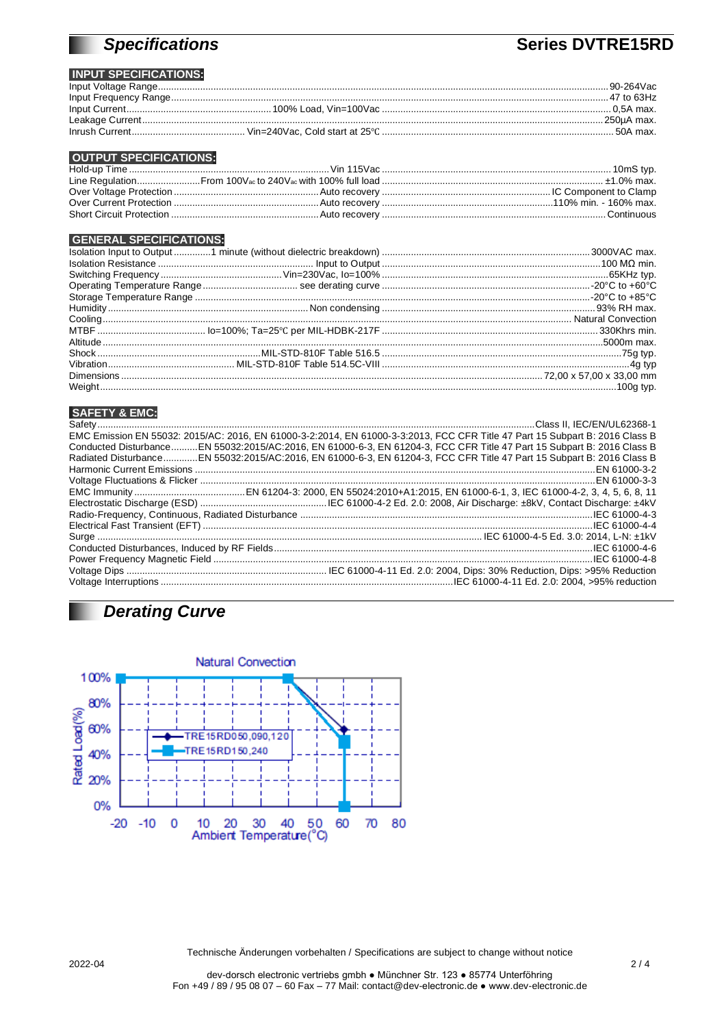# **Specifications**

## **Series DVTRE15RD**

### **INPUT SPECIFICATIONS:**

|  | .90-264Vac   |
|--|--------------|
|  | . 47 to 63Hz |
|  |              |
|  | . 250uA max. |
|  | . 50A max.   |

### **OUTPUT SPECIFICATIONS:**

#### **GENERAL SPECIFICATIONS:**

#### **SAFETY & EMC:**

ш

| EMC Emission EN 55032: 2015/AC: 2016, EN 61000-3-2:2014, EN 61000-3-3:2013, FCC CFR Title 47 Part 15 Subpart B: 2016 Class B |
|------------------------------------------------------------------------------------------------------------------------------|
| Conducted DisturbanceEN 55032:2015/AC:2016, EN 61000-6-3, EN 61204-3, FCC CFR Title 47 Part 15 Subpart B: 2016 Class B       |
| Radiated DisturbanceEN 55032:2015/AC:2016, EN 61000-6-3, EN 61204-3, FCC CFR Title 47 Part 15 Subpart B: 2016 Class B        |
|                                                                                                                              |
|                                                                                                                              |
|                                                                                                                              |
|                                                                                                                              |
|                                                                                                                              |
|                                                                                                                              |
|                                                                                                                              |
|                                                                                                                              |
|                                                                                                                              |
|                                                                                                                              |
|                                                                                                                              |

# **Derating Curve**



Technische Änderungen vorbehalten / Specifications are subject to change without notice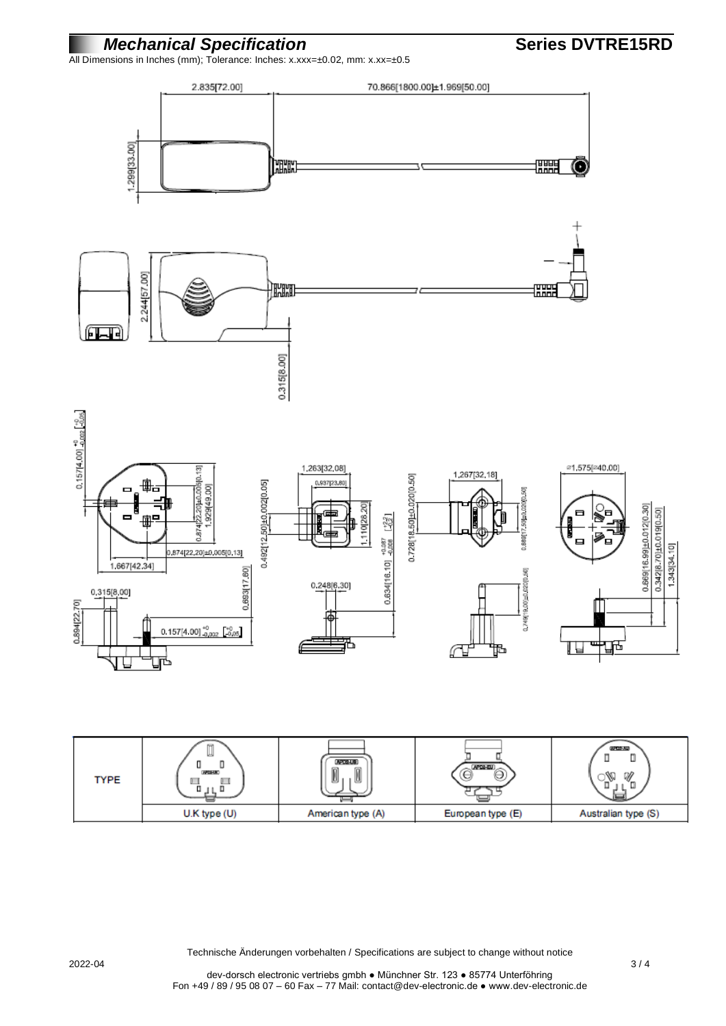### *Mechanical Specification* **Series DVTRE15RD**

All Dimensions in Inches (mm); Tolerance: Inches: x.xxx=±0.02, mm: x.xx=±0.5



| <b>TYPE</b> | ш<br><b>APRILLIC</b><br>$\mathbb{H}$<br>戸<br>u | <b>APCG-US</b><br>m<br>I<br>u | (APD2-EU)<br>ఆ    | 632103-333<br>ш.<br>₩<br>$\tilde{}$ |
|-------------|------------------------------------------------|-------------------------------|-------------------|-------------------------------------|
|             | U.K type (U)                                   | American type (A)             | European type (E) | Australian type (S)                 |

Technische Änderungen vorbehalten / Specifications are subject to change without notice